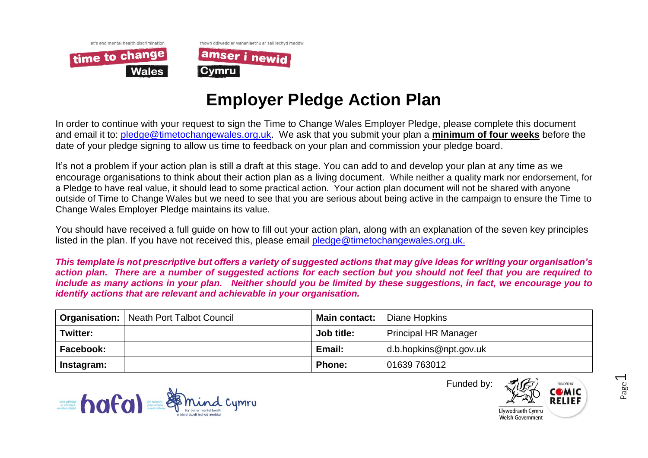



## **Employer Pledge Action Plan**

In order to continue with your request to sign the Time to Change Wales Employer Pledge, please complete this document and email it to: [pledge@timetochangewales.org.uk.](mailto:pledge@timetochangewales.org.uk) We ask that you submit your plan a **minimum of four weeks** before the date of your pledge signing to allow us time to feedback on your plan and commission your pledge board.

It's not a problem if your action plan is still a draft at this stage. You can add to and develop your plan at any time as we encourage organisations to think about their action plan as a living document. While neither a quality mark nor endorsement, for a Pledge to have real value, it should lead to some practical action. Your action plan document will not be shared with anyone outside of Time to Change Wales but we need to see that you are serious about being active in the campaign to ensure the Time to Change Wales Employer Pledge maintains its value.

You should have received a full guide on how to fill out your action plan, along with an explanation of the seven key principles listed in the plan. If you have not received this, please email [pledge@timetochangewales.org.uk.](mailto:pledge@timetochangewales.org.uk)

*This template is not prescriptive but offers a variety of suggested actions that may give ideas for writing your organisation's action plan. There are a number of suggested actions for each section but you should not feel that you are required to include as many actions in your plan. Neither should you be limited by these suggestions, in fact, we encourage you to identify actions that are relevant and achievable in your organisation.*

|                 | <b>Organisation:</b>   Neath Port Talbot Council | <b>Main contact:</b> | Diane Hopkins               |  |  |
|-----------------|--------------------------------------------------|----------------------|-----------------------------|--|--|
| <b>Twitter:</b> |                                                  | Job title:           | <b>Principal HR Manager</b> |  |  |
| Facebook:       |                                                  | Email:               | d.b.hopkins@npt.gov.uk      |  |  |
| Instagram:      |                                                  | <b>Phone:</b>        | 01639 763012                |  |  |





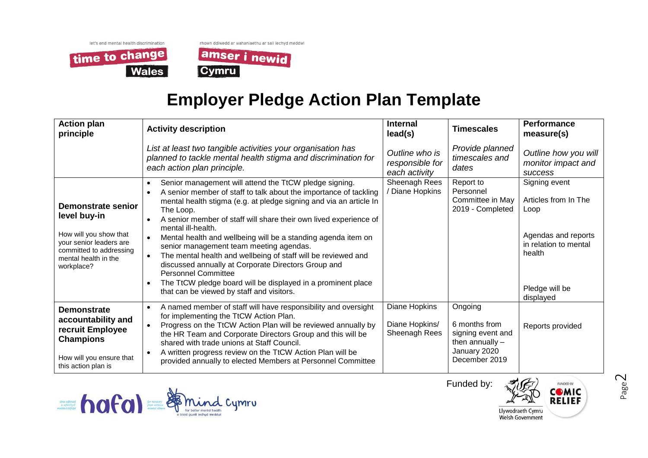let's end mental health discrimination time to change **Wales** 



## **Employer Pledge Action Plan Template**

| <b>Action plan</b><br>principle                                                                                                                          | <b>Activity description</b>                                                                                                                                                                                                                                                                                                                                                                                                                                                                                                                                                                                                                                                              | <b>Internal</b><br>lead(s)                         | <b>Timescales</b>                                                                                   | Performance<br>measure(s)                                                                                                              |
|----------------------------------------------------------------------------------------------------------------------------------------------------------|------------------------------------------------------------------------------------------------------------------------------------------------------------------------------------------------------------------------------------------------------------------------------------------------------------------------------------------------------------------------------------------------------------------------------------------------------------------------------------------------------------------------------------------------------------------------------------------------------------------------------------------------------------------------------------------|----------------------------------------------------|-----------------------------------------------------------------------------------------------------|----------------------------------------------------------------------------------------------------------------------------------------|
|                                                                                                                                                          | List at least two tangible activities your organisation has<br>planned to tackle mental health stigma and discrimination for<br>each action plan principle.                                                                                                                                                                                                                                                                                                                                                                                                                                                                                                                              | Outline who is<br>responsible for<br>each activity | Provide planned<br>timescales and<br>dates                                                          | Outline how you will<br>monitor impact and<br><b>SUCCESS</b>                                                                           |
| Demonstrate senior<br>level buy-in<br>How will you show that<br>your senior leaders are<br>committed to addressing<br>mental health in the<br>workplace? | Senior management will attend the TtCW pledge signing.<br>A senior member of staff to talk about the importance of tackling<br>mental health stigma (e.g. at pledge signing and via an article In<br>The Loop.<br>A senior member of staff will share their own lived experience of<br>mental ill-health.<br>Mental health and wellbeing will be a standing agenda item on<br>senior management team meeting agendas.<br>The mental health and wellbeing of staff will be reviewed and<br>discussed annually at Corporate Directors Group and<br><b>Personnel Committee</b><br>The TtCW pledge board will be displayed in a prominent place<br>that can be viewed by staff and visitors. | Sheenagh Rees<br>Diane Hopkins                     | Report to<br>Personnel<br>Committee in May<br>2019 - Completed                                      | Signing event<br>Articles from In The<br>Loop<br>Agendas and reports<br>in relation to mental<br>health<br>Pledge will be<br>displayed |
| <b>Demonstrate</b><br>accountability and<br>recruit Employee<br><b>Champions</b><br>How will you ensure that<br>this action plan is                      | A named member of staff will have responsibility and oversight<br>for implementing the TtCW Action Plan.<br>Progress on the TtCW Action Plan will be reviewed annually by<br>the HR Team and Corporate Directors Group and this will be<br>shared with trade unions at Staff Council.<br>A written progress review on the TtCW Action Plan will be<br>provided annually to elected Members at Personnel Committee                                                                                                                                                                                                                                                                        | Diane Hopkins<br>Diane Hopkins/<br>Sheenagh Rees   | Ongoing<br>6 months from<br>signing event and<br>then annually $-$<br>January 2020<br>December 2019 | Reports provided                                                                                                                       |



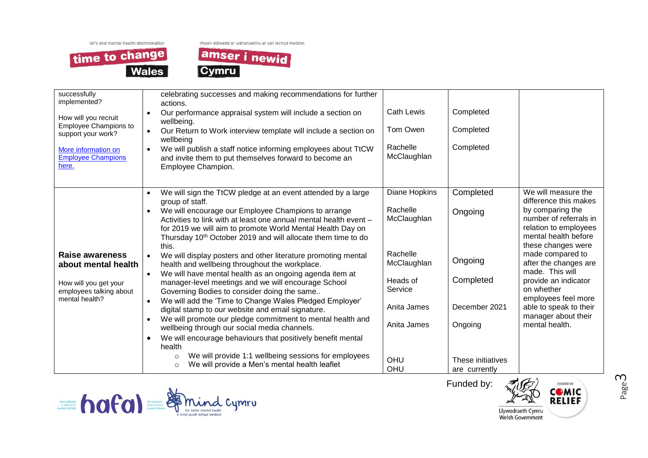time to change **Wales**  rhown ddiwedd ar wahaniaethu ar sail iechyd meddwl



| successfully<br>implemented?<br>How will you recruit<br><b>Employee Champions to</b><br>support your work?<br>More information on<br><b>Employee Champions</b><br>here. | celebrating successes and making recommendations for further<br>actions.<br>Our performance appraisal system will include a section on<br>$\bullet$<br>wellbeing.<br>Our Return to Work interview template will include a section on<br>wellbeing<br>We will publish a staff notice informing employees about TtCW<br>$\bullet$<br>and invite them to put themselves forward to become an<br>Employee Champion.                                                                                                                                                                                                                                                                                                                                                                                                                                                                                                                                                                                                                                                                                                                                           | <b>Cath Lewis</b><br>Tom Owen<br>Rachelle<br>McClaughlan                                                                               | Completed<br>Completed<br>Completed                                                                            |                                                                                                                                                                                                                                                                                                                                                                   |
|-------------------------------------------------------------------------------------------------------------------------------------------------------------------------|-----------------------------------------------------------------------------------------------------------------------------------------------------------------------------------------------------------------------------------------------------------------------------------------------------------------------------------------------------------------------------------------------------------------------------------------------------------------------------------------------------------------------------------------------------------------------------------------------------------------------------------------------------------------------------------------------------------------------------------------------------------------------------------------------------------------------------------------------------------------------------------------------------------------------------------------------------------------------------------------------------------------------------------------------------------------------------------------------------------------------------------------------------------|----------------------------------------------------------------------------------------------------------------------------------------|----------------------------------------------------------------------------------------------------------------|-------------------------------------------------------------------------------------------------------------------------------------------------------------------------------------------------------------------------------------------------------------------------------------------------------------------------------------------------------------------|
| Raise awareness<br>about mental health<br>How will you get your<br>employees talking about<br>mental health?                                                            | We will sign the TtCW pledge at an event attended by a large<br>group of staff.<br>We will encourage our Employee Champions to arrange<br>Activities to link with at least one annual mental health event -<br>for 2019 we will aim to promote World Mental Health Day on<br>Thursday 10 <sup>th</sup> October 2019 and will allocate them time to do<br>this.<br>We will display posters and other literature promoting mental<br>$\bullet$<br>health and wellbeing throughout the workplace.<br>We will have mental health as an ongoing agenda item at<br>$\bullet$<br>manager-level meetings and we will encourage School<br>Governing Bodies to consider doing the same<br>We will add the 'Time to Change Wales Pledged Employer'<br>$\bullet$<br>digital stamp to our website and email signature.<br>We will promote our pledge commitment to mental health and<br>$\bullet$<br>wellbeing through our social media channels.<br>We will encourage behaviours that positively benefit mental<br>$\bullet$<br>health<br>We will provide 1:1 wellbeing sessions for employees<br>$\circ$<br>We will provide a Men's mental health leaflet<br>$\circ$ | Diane Hopkins<br>Rachelle<br>McClaughlan<br>Rachelle<br>McClaughlan<br>Heads of<br>Service<br>Anita James<br>Anita James<br>OHU<br>OHU | Completed<br>Ongoing<br>Ongoing<br>Completed<br>December 2021<br>Ongoing<br>These initiatives<br>are currently | We will measure the<br>difference this makes<br>by comparing the<br>number of referrals in<br>relation to employees<br>mental health before<br>these changes were<br>made compared to<br>after the changes are<br>made. This will<br>provide an indicator<br>on whether<br>employees feel more<br>able to speak to their<br>manager about their<br>mental health. |



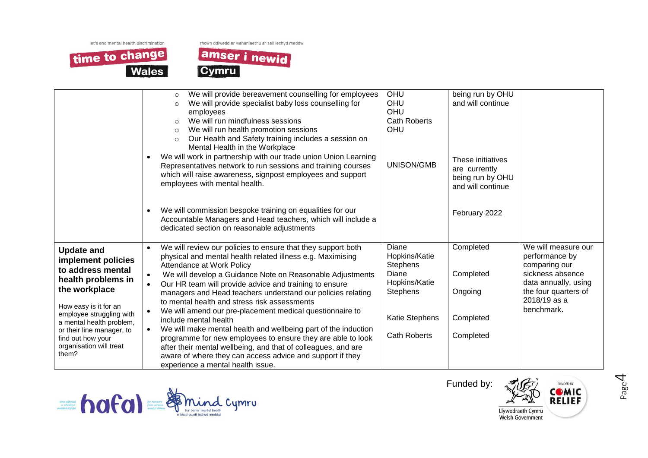rhown ddiwedd ar wahaniaethu ar sail iechyd meddwl





|                                                                                                                                                                                                                                                                            | We will provide bereavement counselling for employees<br>$\circ$<br>We will provide specialist baby loss counselling for<br>$\circ$<br>employees<br>We will run mindfulness sessions<br>$\Omega$<br>We will run health promotion sessions<br>$\circ$<br>Our Health and Safety training includes a session on<br>$\circ$<br>Mental Health in the Workplace<br>We will work in partnership with our trade union Union Learning<br>$\bullet$<br>Representatives network to run sessions and training courses<br>which will raise awareness, signpost employees and support<br>employees with mental health.<br>We will commission bespoke training on equalities for our<br>$\bullet$<br>Accountable Managers and Head teachers, which will include a<br>dedicated section on reasonable adjustments                                                       | OHU<br>OHU<br>OHU<br><b>Cath Roberts</b><br>OHU<br>UNISON/GMB                                                     | being run by OHU<br>and will continue<br>These initiatives<br>are currently<br>being run by OHU<br>and will continue<br>February 2022 |                                                                                                                                                          |
|----------------------------------------------------------------------------------------------------------------------------------------------------------------------------------------------------------------------------------------------------------------------------|---------------------------------------------------------------------------------------------------------------------------------------------------------------------------------------------------------------------------------------------------------------------------------------------------------------------------------------------------------------------------------------------------------------------------------------------------------------------------------------------------------------------------------------------------------------------------------------------------------------------------------------------------------------------------------------------------------------------------------------------------------------------------------------------------------------------------------------------------------|-------------------------------------------------------------------------------------------------------------------|---------------------------------------------------------------------------------------------------------------------------------------|----------------------------------------------------------------------------------------------------------------------------------------------------------|
| <b>Update and</b><br>implement policies<br>to address mental<br>health problems in<br>the workplace<br>How easy is it for an<br>employee struggling with<br>a mental health problem,<br>or their line manager, to<br>find out how your<br>organisation will treat<br>them? | We will review our policies to ensure that they support both<br>$\bullet$<br>physical and mental health related illness e.g. Maximising<br>Attendance at Work Policy<br>We will develop a Guidance Note on Reasonable Adjustments<br>$\bullet$<br>Our HR team will provide advice and training to ensure<br>$\bullet$<br>managers and Head teachers understand our policies relating<br>to mental health and stress risk assessments<br>We will amend our pre-placement medical questionnaire to<br>$\bullet$<br>include mental health<br>We will make mental health and wellbeing part of the induction<br>$\bullet$<br>programme for new employees to ensure they are able to look<br>after their mental wellbeing, and that of colleagues, and are<br>aware of where they can access advice and support if they<br>experience a mental health issue. | Diane<br>Hopkins/Katie<br>Stephens<br>Diane<br>Hopkins/Katie<br>Stephens<br>Katie Stephens<br><b>Cath Roberts</b> | Completed<br>Completed<br>Ongoing<br>Completed<br>Completed                                                                           | We will measure our<br>performance by<br>comparing our<br>sickness absence<br>data annually, using<br>the four quarters of<br>2018/19 as a<br>benchmark. |





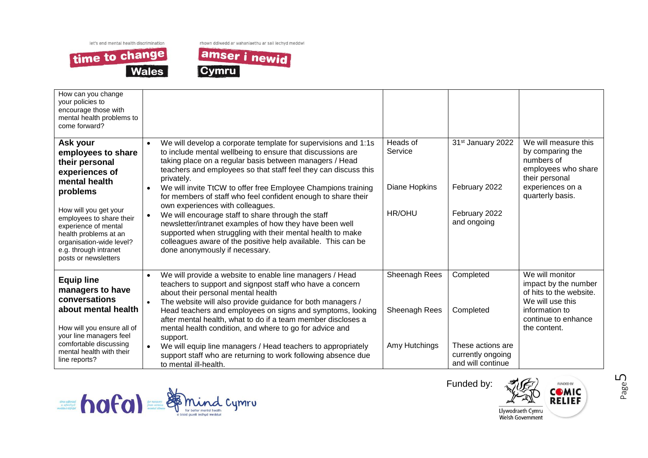

rhown ddiwedd ar wahaniaethu ar sail iechyd meddwl



| How can you change<br>your policies to<br>encourage those with<br>mental health problems to<br>come forward?                                                                                                                                                                       |                                                                                                                                                                                                                                                                                                                                                                                                                                                                                                                                                                                                                                                                                                                                              |                                                 |                                                                                       |                                                                                                                                                 |
|------------------------------------------------------------------------------------------------------------------------------------------------------------------------------------------------------------------------------------------------------------------------------------|----------------------------------------------------------------------------------------------------------------------------------------------------------------------------------------------------------------------------------------------------------------------------------------------------------------------------------------------------------------------------------------------------------------------------------------------------------------------------------------------------------------------------------------------------------------------------------------------------------------------------------------------------------------------------------------------------------------------------------------------|-------------------------------------------------|---------------------------------------------------------------------------------------|-------------------------------------------------------------------------------------------------------------------------------------------------|
| Ask your<br>employees to share<br>their personal<br>experiences of<br>mental health<br>problems<br>How will you get your<br>employees to share their<br>experience of mental<br>health problems at an<br>organisation-wide level?<br>e.g. through intranet<br>posts or newsletters | We will develop a corporate template for supervisions and 1:1s<br>to include mental wellbeing to ensure that discussions are<br>taking place on a regular basis between managers / Head<br>teachers and employees so that staff feel they can discuss this<br>privately.<br>We will invite TtCW to offer free Employee Champions training<br>for members of staff who feel confident enough to share their<br>own experiences with colleagues.<br>We will encourage staff to share through the staff<br>$\bullet$<br>newsletter/intranet examples of how they have been well<br>supported when struggling with their mental health to make<br>colleagues aware of the positive help available. This can be<br>done anonymously if necessary. | Heads of<br>Service<br>Diane Hopkins<br>HR/OHU  | 31 <sup>st</sup> January 2022<br>February 2022<br>February 2022<br>and ongoing        | We will measure this<br>by comparing the<br>numbers of<br>employees who share<br>their personal<br>experiences on a<br>quarterly basis.         |
| <b>Equip line</b><br>managers to have<br>conversations<br>about mental health<br>How will you ensure all of<br>your line managers feel<br>comfortable discussing<br>mental health with their<br>line reports?                                                                      | We will provide a website to enable line managers / Head<br>$\bullet$<br>teachers to support and signpost staff who have a concern<br>about their personal mental health<br>The website will also provide guidance for both managers /<br>Head teachers and employees on signs and symptoms, looking<br>after mental health, what to do if a team member discloses a<br>mental health condition, and where to go for advice and<br>support.<br>We will equip line managers / Head teachers to appropriately<br>$\bullet$<br>support staff who are returning to work following absence due<br>to mental ill-health.                                                                                                                           | Sheenagh Rees<br>Sheenagh Rees<br>Amy Hutchings | Completed<br>Completed<br>These actions are<br>currently ongoing<br>and will continue | We will monitor<br>impact by the number<br>of hits to the website.<br>We will use this<br>information to<br>continue to enhance<br>the content. |



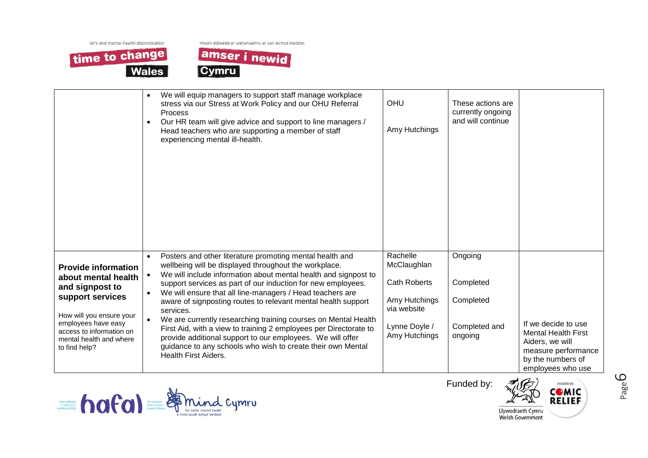time to change Wales rhown ddiwedd ar wahaniaethu ar sail iechyd meddwl



|                                                                                                                                                                                                                     | We will equip managers to support staff manage workplace<br>$\bullet$<br>stress via our Stress at Work Policy and our OHU Referral<br>Process<br>Our HR team will give advice and support to line managers /<br>$\bullet$<br>Head teachers who are supporting a member of staff<br>experiencing mental ill-health.                                                                                                                                                                                                                                                                                                                                                                                                           | OHU<br>Amy Hutchings                                                                                             | These actions are<br>currently ongoing<br>and will continue   |                                                                                                                                       |
|---------------------------------------------------------------------------------------------------------------------------------------------------------------------------------------------------------------------|------------------------------------------------------------------------------------------------------------------------------------------------------------------------------------------------------------------------------------------------------------------------------------------------------------------------------------------------------------------------------------------------------------------------------------------------------------------------------------------------------------------------------------------------------------------------------------------------------------------------------------------------------------------------------------------------------------------------------|------------------------------------------------------------------------------------------------------------------|---------------------------------------------------------------|---------------------------------------------------------------------------------------------------------------------------------------|
| <b>Provide information</b><br>about mental health<br>and signpost to<br>support services<br>How will you ensure your<br>employees have easy<br>access to information on<br>mental health and where<br>to find help? | Posters and other literature promoting mental health and<br>$\bullet$<br>wellbeing will be displayed throughout the workplace.<br>We will include information about mental health and signpost to<br>support services as part of our induction for new employees.<br>We will ensure that all line-managers / Head teachers are<br>$\bullet$<br>aware of signposting routes to relevant mental health support<br>services.<br>We are currently researching training courses on Mental Health<br>First Aid, with a view to training 2 employees per Directorate to<br>provide additional support to our employees. We will offer<br>guidance to any schools who wish to create their own Mental<br><b>Health First Aiders.</b> | Rachelle<br>McClaughlan<br><b>Cath Roberts</b><br>Amy Hutchings<br>via website<br>Lynne Doyle /<br>Amy Hutchings | Ongoing<br>Completed<br>Completed<br>Completed and<br>ongoing | If we decide to use<br><b>Mental Health First</b><br>Aiders, we will<br>measure performance<br>by the numbers of<br>employees who use |



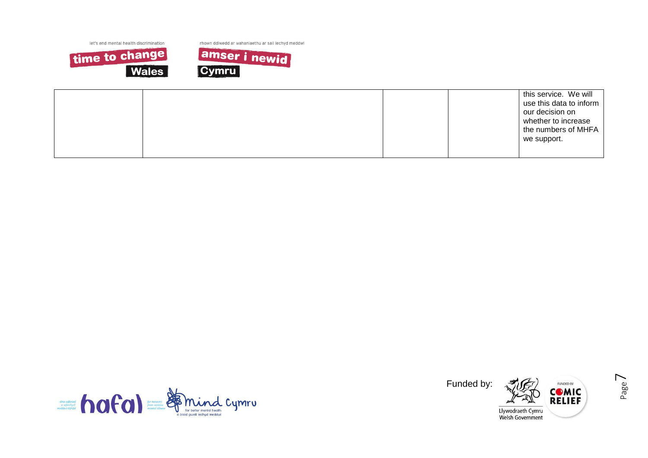

rhown ddiwedd ar wahaniaethu ar sail iechyd meddwl



|  |  | this service. We will<br>use this data to inform<br>our decision on<br>whether to increase<br>the numbers of MHFA |
|--|--|-------------------------------------------------------------------------------------------------------------------|
|  |  | we support.                                                                                                       |
|  |  |                                                                                                                   |